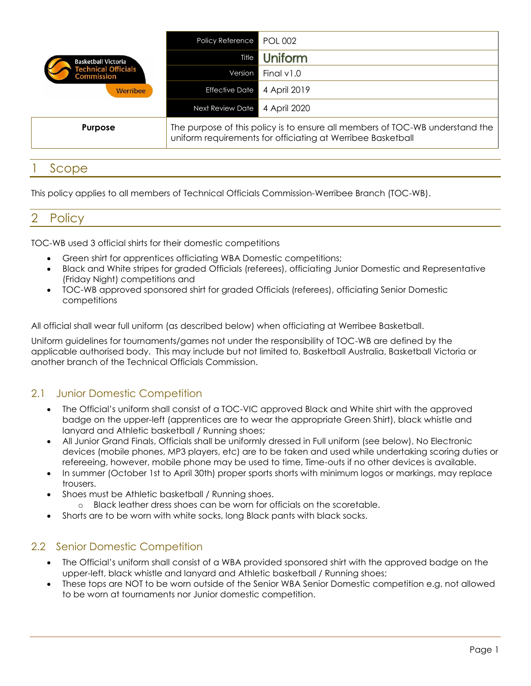| <b>Basketball Victoria</b><br><b>Fechnical Officials</b><br><b>Commission</b><br>Werribee | Policy Reference                                                                                                                            | <b>POL 002</b> |
|-------------------------------------------------------------------------------------------|---------------------------------------------------------------------------------------------------------------------------------------------|----------------|
|                                                                                           | Title                                                                                                                                       | Uniform        |
|                                                                                           | Version                                                                                                                                     | Final $v1.0$   |
|                                                                                           | <b>Effective Date</b>                                                                                                                       | 4 April 2019   |
|                                                                                           | <b>Next Review Date</b>                                                                                                                     | 4 April 2020   |
| <b>Purpose</b>                                                                            | The purpose of this policy is to ensure all members of TOC-WB understand the<br>uniform requirements for officiating at Werribee Basketball |                |

# **Scope**

This policy applies to all members of Technical Officials Commission-Werribee Branch (TOC-WB).

## 2 Policy

TOC-WB used 3 official shirts for their domestic competitions

- Green shirt for apprentices officiating WBA Domestic competitions;
- Black and White stripes for graded Officials (referees), officiating Junior Domestic and Representative (Friday Night) competitions and
- TOC-WB approved sponsored shirt for graded Officials (referees), officiating Senior Domestic competitions

All official shall wear full uniform (as described below) when officiating at Werribee Basketball.

Uniform guidelines for tournaments/games not under the responsibility of TOC-WB are defined by the applicable authorised body. This may include but not limited to, Basketball Australia, Basketball Victoria or another branch of the Technical Officials Commission.

### 2.1 Junior Domestic Competition

- The Official's uniform shall consist of a TOC-VIC approved Black and White shirt with the approved badge on the upper-left (apprentices are to wear the appropriate Green Shirt), black whistle and lanyard and Athletic basketball / Running shoes;
- All Junior Grand Finals, Officials shall be uniformly dressed in Full uniform (see below), No Electronic devices (mobile phones, MP3 players, etc) are to be taken and used while undertaking scoring duties or refereeing, however, mobile phone may be used to time, Time-outs if no other devices is available.
- In summer (October 1st to April 30th) proper sports shorts with minimum logos or markings, may replace trousers.
- Shoes must be Athletic basketball / Running shoes.
	- o Black leather dress shoes can be worn for officials on the scoretable.
- Shorts are to be worn with white socks, long Black pants with black socks.

### 2.2 Senior Domestic Competition

- The Official's uniform shall consist of a WBA provided sponsored shirt with the approved badge on the upper-left, black whistle and lanyard and Athletic basketball / Running shoes;
- These tops are NOT to be worn outside of the Senior WBA Senior Domestic competition e.g. not allowed to be worn at tournaments nor Junior domestic competition.